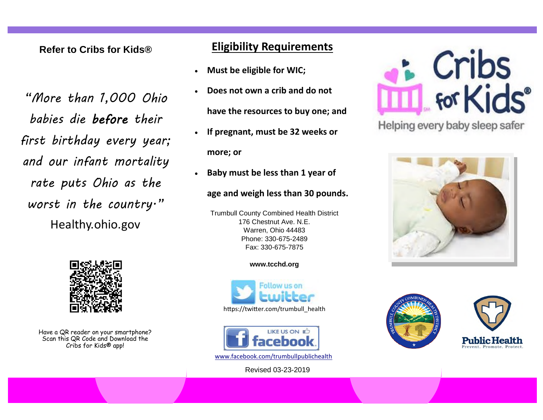### **Refer to Cribs for Kids®**

*"More than 1,000 Ohio babies die before their first birthday every year; and our infant mortality rate puts Ohio as the worst in the country."*  Healthy.ohio.gov



Have a QR reader on your smartphone? Scan this QR Code and Download the Cribs for Kids® app!

## **Eligibility Requirements**

- **Must be eligible for WIC;**
- **Does not own a crib and do not have the resources to buy one; and**
- **If pregnant, must be 32 weeks or more; or**
- **Baby must be less than 1 year of**

### **age and weigh less than 30 pounds.**

Trumbull County Combined Health District 176 Chestnut Ave. N.E. Warren, Ohio 44483 Phone: 330-675-2489 Fax: 330-675-7875

### **www.tcchd.org**





www.facebook.com/trumbullpublichealth

Revised 03-23-2019



Helping every baby sleep safer